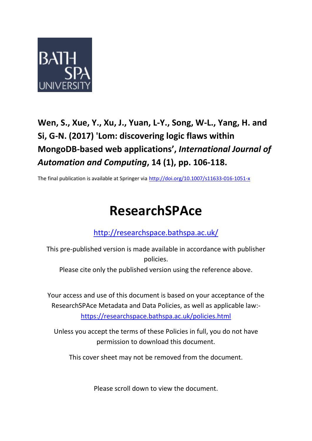

## **Wen, S., Xue, Y., Xu, J., Yuan, L-Y., Song, W-L., Yang, H. and Si, G-N. (2017) 'Lom: discovering logic flaws within MongoDB-based web applications' ,** *International Journal of Automation and Computing***, 14 (1), pp. 106-118.**

The final publication is available at Springer via <http://doi.org/10.1007/s11633-016-1051-x>

# **ResearchSPAce**

<http://researchspace.bathspa.ac.uk/>

This pre-published version is made available in accordance with publisher policies.

Please cite only the published version using the reference above.

Your access and use of this document is based on your acceptance of the ResearchSPAce Metadata and Data Policies, as well as applicable law: https://researchspace.bathspa.ac.uk/policies.html

Unless you accept the terms of these Policies in full, you do not have permission to download this document.

This cover sheet may not be removed from the document.

Please scroll down to view the document.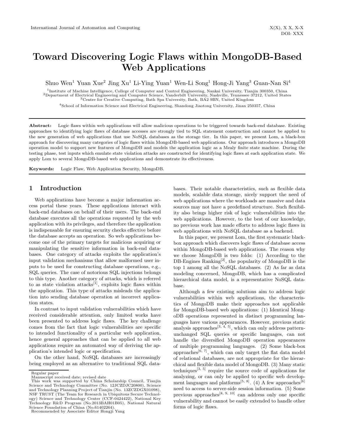### Toward Discovering Logic Flaws within MongoDB-Based Web Applications

Shuo Wen<sup>1</sup> Yuan Xue<sup>2</sup> Jing Xu<sup>1</sup> Li-Ying Yuan<sup>1</sup> Wen-Li Song<sup>1</sup> Hong-Ji Yang<sup>3</sup> Guan-Nan Si<sup>4</sup>

<sup>1</sup>Institute of Machine Intelligence, College of Computer and Control Engineering, Nankai University, Tianjin 300350, China <sup>2</sup>Department of Electrical Engineering and Computer Science, Vanderbilt University, Nashville, Tennessee 37212, United States <sup>3</sup>Centre for Creative Computing, Bath Spa University, Bath, BA2 9BN, United Kingdom

<sup>4</sup>School of Information Science and Electrical Engineering, Shandong Jiaotong University, Jinan 250357, China

Abstract: Logic flaws within web applications will allow malicious operations to be triggered towards back-end database. Existing approaches to identifying logic flaws of database accesses are strongly tied to SQL statement construction and cannot be applied to the new generation of web applications that use NoSQL databases as the storage tier. In this paper, we present Lom, a black-box approach for discovering many categories of logic flaws within MongoDB-based web applications. Our approach introduces a MongoDB operation model to support new features of MongoDB and models the application logic as a Mealy finite state machine. During the testing phase, test inputs which emulate state violation attacks are constructed for identifying logic flaws at each application state. We apply Lom to several MongoDB-based web applications and demonstrate its effectiveness.

Keywords: Logic Flaw, Web Application Security, MongoDB.

#### 1 Introduction

Web applications have become a major information access portal these years. These applications interact with back-end databases on behalf of their users. The back-end database executes all the operations requested by the web application with its privileges, and therefore the application is indispensable for ensuring security checks effective before the database accepts an operation. So web applications become one of the primary targets for malicious acquiring or manipulating the sensitive information in back-end databases. One category of attacks exploits the application's input validation mechanisms that allow malformed user inputs to be used for constructing database operations, e.g., SQL queries. The case of notorious SQL injections belongs to this type. Another category of attacks, which is referred to as state violation attacks<sup>[1]</sup>, exploits logic flaws within the application. This type of attacks misleads the application into sending database operation at incorrect application states.

In contrast to input validation vulnerabilities which have received considerable attention, only limited works have been presented to address logic flaws. The key challenge comes from the fact that logic vulnerabilities are specific to intended functionality of a particular web application, hence general approaches that can be applied to all web applications require an automated way of deriving the application's intended logic or specification.

On the other hand, NoSQL databases are increasingly being employed as an alternative to traditional SQL data-

bases. Their notable characteristics, such as flexible data models, scalable data storage, nicely support the need of web applications where the workloads are massive and data sources may not have a predefined structure. Such flexibility also brings higher risk of logic vulnerabilities into the web applications. However, to the best of our knowledge, no previous work has made efforts to address logic flaws in web applications with NoSQL database as a backend.

In this paper, we present Lom, the first systematic blackbox approach which discovers logic flaws of database access within MongoDB-based web applications. The reason why we choose MongoDB is two folds: (1) According to the DB-Engines Ranking<sup>[2]</sup>, the popularity of MongoDB is the top 1 among all the NoSQL databases. (2) As far as data modeling concerned, MongoDB, which has a complicated hierarchical data model, is a representative NoSQL database.

Although a few existing solutions aim to address logic vulnerabilities within web applications, the characteristics of MongoDB make their approaches not applicable for MongoDB-based web applications: (1) Identical MongoDB operations represented in distinct programming languages have various appearances. However, previous static analysis approaches  $[3, 4, 5]$ , which can only address patternunchanged SQL queries or specific languages, can not handle the diversified MongoDB operation appearances of multiple programming languages. (2) Some black-box approaches<sup>[6, 7]</sup>, which can only target the flat data model of relational databases, are not appropriate for the hierarchical and flexible data model of MongoDB. (3) Many static techniques<sup>[3, 5]</sup> require the source code of applications for analyzing, or can only be applied to specific web development languages and platforms<sup>[5, 8]</sup>. (4) A few approaches<sup>[6]</sup> need to access to server-side session information. (5) Some previous approaches<sup>[8, 9, 10]</sup> can address only one specific vulnerability and cannot be easily extended to handle other forms of logic flaws.

Regular paper

Manuscript received date; revised date This work was supported by China Scholarship Council, Tianjin Science and Technology Committee (No. 12JCZDJC20800), Science and Technology Planning Project of Tianjin (No. 13ZCZDGX01098), NSF TRUST (The Team for Research in Ubiquitous Secure Technology) Science and Technology Center (CCF-0424422), National Key Technology R&D Program (No.2013BAH01B05), National Natural Science Foundation of China (No.61402264).

Recommended by Associate Editor Hongji Yang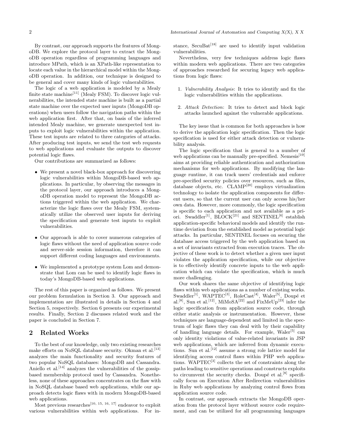By contrast, our approach supports the features of MongoDB. We explore the protocol layer to extract the MongoDB operation regardless of programming languages and introduce MPath, which is an XPath-like representation to locate each value in the hierarchical model within the MongoDB operation. In addition, our technique is designed to be general and cover many kinds of logic vulnerabilities.

The logic of a web application is modeled by a Mealy finite state machine<sup>[11]</sup> (Mealy FSM). To discover logic vulnerabilities, the intended state machine is built as a partial state machine over the expected user inputs (MongoDB operations) when users follow the navigation paths within the web application first. After that, on basis of the inferred intended Mealy machine, we generate unexpected test inputs to exploit logic vulnerabilities within the application. These test inputs are related to three categories of attacks. After producing test inputs, we send the test web requests to web applications and evaluate the outputs to discover potential logic flaws.

Our contributions are summarized as follows:

- We present a novel black-box approach for discovering logic vulnerabilities within MongoDB-based web applications. In particular, by observing the messages in the protocol layer, our approach introduces a MongoDB operation model to represent the MongoDB actions triggered within the web application. We characterize the logic flaws over the Mealy FSM, systematically utilize the observed user inputs for deriving the specification and generate test inputs to exploit vulnerabilities.
- Our approach is able to cover numerous categories of logic flaws without the need of application source code and server-side session information, therefore it can support different coding languages and environments.
- We implemented a prototype system Lom and demonstrate that Lom can be used to identify logic flaws in today's MongoDB-based web applications.

The rest of this paper is organized as follows. We present our problem formulation in Section 3. Our approach and implementation are illustrated in details in Section 4 and Section 5, respectively. Section 6 presents our experimental results. Finally, Section 2 discusses related work and the paper is concluded in Section 7.

#### 2 Related Works

To the best of our knowledge, only two existing researches make efforts on NoSQL database security. Okman et al.<sup>[13]</sup> analyzes the main functionality and security features of two popular NoSQL databases: MongoDB and Cassandra. Aniello et al.<sup>[14]</sup> analyzes the vulnerabilities of the gossipbased membership protocol used by Cassandra. Nonetheless, none of these approaches concentrates on the flaw with in NoSQL database based web applications, while our approach detects logic flaws with in modern MongoDB-based web applications.

Most previous researches<sup>[10, 15, 16, 17]</sup> endeavor to exploit various vulnerabilities within web applications. For instance, SecuBat<sup>[18]</sup> are used to identify input validation vulnerabilities.

Nevertheless, very few techniques address logic flaws within modern web applications. There are two categories of approaches researched for securing legacy web applications from logic flaws:

- 1. Vulnerability Analysis: It tries to identify and fix the logic vulnerabilities within the applications.
- 2. Attack Detection: It tries to detect and block logic attacks launched against the vulnerable applications.

The key issue that is common for both approaches is how to derive the application logic specification. Then the logic specification is used for either attack detection or vulnerability analysis.

The logic specification that is general to a number of web applications can be manually pre-specified. Nemesis<sup>[19]</sup> aims at providing reliable authentication and authorization mechanisms for web applications. By modifying the language runtime, it can track users' credentials and enforce pre-specified security policies over resources, such as files, database objects, etc. CLAMP[20] employs virtualization technology to isolate the application components for different users, so that the current user can only access his/her own data. However, more commonly, the logic specification is specific to each application and not available as a priori. Swaddler<sup>[1]</sup>, BLOCK<sup>[21]</sup> and SENTINEL<sup>[6]</sup> establish application-specific behavioral models and identify the runtime deviation from the established model as potential logic attacks. In particular, SENTINEL focuses on securing the database access triggered by the web application based on a set of invariants extracted from execution traces. The objective of these work is to detect whether a given user input violates the application specification, while our objective is to effectively identify concrete inputs to the web application which can violate the specification, which is much more challenging.

Our work shares the same objective of identifying logic flaws within web applications as a number of existing works. Swaddler<sup>[1]</sup>, WAPTEC<sup>[3]</sup>, RoleCast<sup>[4]</sup>, Waler<sup>[5]</sup>, Doupé et al.<sup>[8]</sup>, Sun et al.<sup>[12]</sup>, MiMoSA<sup>[22]</sup> and FixMeUp<sup>[23]</sup> infer the logic specification from application source code, through either static analysis or instrumentation. However, these techniques are language-dependent and limited in the spectrum of logic flaws they can deal with by their capability of handling language details. For example,  $\text{Waler}^{[5]}$  can only identity violations of value-related invariants in JSP web applications, which are inferred from dynamic executions. Sun et al.<sup>[12]</sup> assume a strong role lattice model for identifying access control flaws within PHP web applications. WAPTEC[3] collects the set of constraints along the paths leading to sensitive operations and constructs exploits to circumvent the security checks. Doupé et al.  $[8]$  specifically focus on Execution After Redirection vulnerabilities in Ruby web applications by analyzing control flows from application source code.

In contrast, our approach extracts the MongoDB operation from the protocol layer without source code requirement, and can be utilized for all programming languages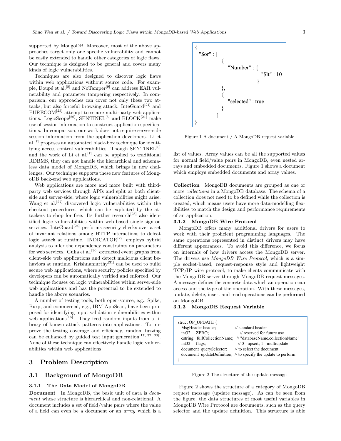supported by MongoDB. Moreover, most of the above approaches target only one specific vulnerability and cannot be easily extended to handle other categories of logic flaws. Our technique is designed to be general and covers many kinds of logic vulnerabilities.

Techniques are also designed to discover logic flaws within web applications without source code. For example, Doupé et al.<sup>[8]</sup> and NoTamper<sup>[9]</sup> can address EAR vulnerability and parameter tampering respectively. In comparison, our approaches can cover not only these two attacks, but also forceful browsing attack. InteGuard<sup>[24]</sup> and  $EURECOM<sup>[25]</sup> attempt to secure multi-party web applica$ tions. LogicScope<sup>[26]</sup>, SENTINEL<sup>[6]</sup> and BLOCK<sup>[21]</sup> make use of session information to construct application specifications. In comparison, our work does not require server-side session information from the application developers. Li et al.[7] proposes an automated black-box technique for identifying access control vulnerabilities. Though  $SENTINEL^{[6]}$ and the work of Li et al.<sup>[7]</sup> can be applied to traditional RDBMS, they can not handle the hierarchical and schemaless data model of MongoDB, which brings in new challenges. Our technique supports these new features of MongoDB back-end web applications.

Web applications are more and more built with thirdparty web services through APIs and split at both clientside and server-side, where logic vulnerabilities might arise. Wang et al.<sup>[27]</sup> discovered logic vulnerabilities within the checkout procedures, which can be exploited by the attackers to shop for free. Its further research<sup>[28]</sup> also identified logic vulnerabilities within web-based single-sign-on services. InteGuard<sup>[24]</sup> performs security checks over a set of invariant relations among HTTP interactions to defeat logic attack at runtime. INDICATOR<sup>[29]</sup> employs hybrid analysis to infer the dependency constraints on parameters for web services. Guha et al.<sup>[30]</sup> extracted event graphs from client-side web applications and detect malicious client behaviors at runtime. Krishnamurthy<sup>[31]</sup> can be used to build secure web applications, where security policies specified by developers can be automatically verified and enforced. Our technique focuses on logic vulnerabilities within server-side web applications and has the potential to be extended to handle the above scenarios.

A number of testing tools, both open-source, e.g., Spike, Burp, and commercial, e.g., IBM AppScan, have been proposed for identifying input validation vulnerabilities within web applications<sup>[16]</sup>. They feed random inputs from a library of known attack patterns into applications. To improve the testing coverage and efficiency, random fuzzing can be enhanced by guided test input generation<sup>[17, 32, 33]</sup>. None of these technique can effectively handle logic vulnerabilities within web applications.

#### 3 Problem Description

#### 3.1 Background of MongoDB

#### 3.1.1 The Data Model of MongoDB

Document In MongoDB, the basic unit of data is document whose structure is hierarchical and non-relational. A document includes a set of field/value pairs where the value of a field can even be a document or an array which is a



Figure 1 A document / A MongoDB request variable

list of values. Array values can be all the supported values for normal field/value pairs in MongoDB, even nested arrays and embedded documents. Figure 1 shows a document which employs embedded documents and array values.

Collection MongoDB documents are grouped as one or more collections in a MongoDB database. The schema of a collection does not need to be defined while the collection is created, which means users have more data-modelling flexibilities to match the design and performance requirements of an application.

#### 3.1.2 MongoDB Wire Protocol

MongoDB offers many additional drivers for users to work with their proficient programming languages. The same operations represented in distinct drivers may have different appearances. To avoid this difference, we focus on internals of how drivers access the MongoDB server. The drivers use MongoDB Wire Protocol, which is a simple socket-based, request-response style and lightweight TCP/IP wire protocol, to make clients communicate with the MongoDB server through MongoDB request messages. A message defines the concrete data which an operation can access and the type of the operation. With these messages, update, delete, insert and read operations can be performed on MongoDB.

#### 3.1.3 MongoDB Request Variable

| struct OP UPDATE {                                |                                                                |
|---------------------------------------------------|----------------------------------------------------------------|
| MsgHeader header;                                 | // standard header                                             |
| $int32$ ZERO:                                     | // reserved for future use                                     |
|                                                   | estring fullCollectionName; // "databaseName.collectionName"   |
| $int32$ flags:                                    | $// 0 - upper$ ; 1 - multiupdate                               |
| document querySelector; // to select the document |                                                                |
|                                                   | document updateDefinition; // to specify the update to perform |
|                                                   |                                                                |

Figure 2 The structure of the update message

Figure 2 shows the structure of a category of MongoDB request message (update message). As can be seen from the figure, the data structures of most useful variables in MongoDB Wire Protocol are documents, such as the query selector and the update definition. This structure is able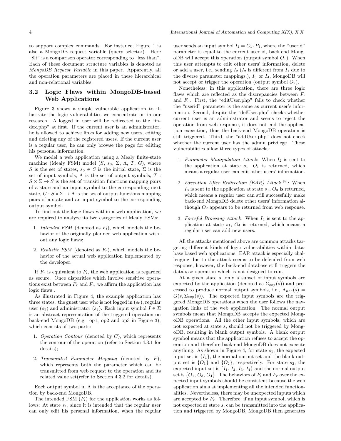to support complex commands. For instance, Figure 1 is also a MongoDB request variable (query selector). Here "\$lt" is a comparison operator corresponding to "less than". Each of these document structure variables is denoted as MongoDB Request Variable in this paper. Apparently, all the operation parameters are placed in these hierarchical and non-relational variables.

#### 3.2 Logic Flaws within MongoDB-based Web Applications

Figure 3 shows a simple vulnerable application to illustrate the logic vulnerabilities we concentrate on in our research. A logged in user will be redirected to the "index.php" at first. If the current user is an administrator, he is allowed to achieve links for adding new users, editing and deleting any of the registered users. If the current user is a regular user, he can only browse the page for editing his personal information.

We model a web application using a Mealy finite-state machine (Mealy FSM) model  $(S, s_0, \Sigma, \Lambda, T, G)$ , where S is the set of states,  $s_0 \in S$  is the initial state,  $\Sigma$  is the set of input symbols,  $\Lambda$  is the set of output symbols,  $T$  :  $S \times \Sigma \rightarrow S$  is the set of transition functions mapping pairs of a state and an input symbol to the corresponding next state,  $G : S \times \Sigma \to \Lambda$  is the set of output functions mapping pairs of a state and an input symbol to the corresponding output symbol.

To find out the logic flaws within a web application, we are required to analyze its two categories of Mealy FSMs:

- 1. Intended FSM (denoted as  $F_i$ ), which models the behavior of the originally planned web application without any logic flaws;
- 2. Realistic FSM (denoted as  $F_r$ ), which models the behavior of the actual web application implemented by the developer.

If  $F_r$  is equivalent to  $F_i$ , the web application is regarded as secure. Once disparities which involve sensitive operations exist between  $F_r$  and  $F_i$ , we affirm the application has logic flaws .

As illustrated in Figure 4, the example application has three states: the guest user who is not logged in  $(s_0)$ , regular user  $(s_1)$  and administrator  $(s_2)$ . Each input symbol  $I \in \Sigma$ is an abstract representation of the triggered operation on back-end MongoDB (e.g. op1, op2 and op3 in Figure 3), which consists of two parts:

- 1. Operation Contour (denoted by  $C$ ), which represents the contour of the operation (refer to Section 4.3.1 for details);
- 2. Transmitted Parameter Mapping (denoted by P), which represents both the parameter which can be transmitted from web request to the operation and its related value set(refer to Section 4.3.2 for details).

Each output symbol in  $\Lambda$  is the acceptance of the operation by back-end MongoDB.

The intended FSM  $(F_i)$  for the application works as follows: At state  $s_1$ , since it is intended that the regular user can only edit his personal information, when the regular

user sends an input symbol  $I_1 = C_1 \cdot P_1$ , where the "userid" parameter is equal to the current user id, back-end MongoDB will accept this operation (output symbol  $O_1$ ). When this user attempts to edit other users' information, delete or add a user, i.e., sending  $I_2$  ( $I_2$  is different from  $I_1$  due to the diverse parameter mappings.),  $I_3$  or  $I_4$ , MongoDB will not accept or trigger the operation (output symbol  $O_2$ ).

Nonetheless, in this application, there are three logic flaws which are reflected as the discrepancies between  $F_i$ and  $F_r$ . First, the "editUser.php" fails to check whether the "userid" parameter is the same as current user's information. Second, despite the "delUser.php" checks whether current user is an administrator and seems to reject the operation from web response, it does not end the application execution, thus the back-end MongoDB operation is still triggered. Third, the "addUser.php" does not check whether the current user has the admin privilege. These vulnerabilities allow three types of attacks:

- 1. Parameter Manipulation Attack: When  $I_2$  is sent to the application at state  $s_1$ ,  $O_1$  is returned, which means a regular user can edit other users' information.
- 2. Execution After Redirection (EAR) Attack [8]: When  $I_3$  is sent to the application at state  $s_1, O_3$  is returned, which means a regular user can still successfully make back-end MongoDB delete other users' information although  $O_2$  appears to be returned from web response.
- 3. Forceful Browsing Attack: When  $I_4$  is sent to the application at state  $s_1$ ,  $O_4$  is returned, which means a regular user can add new users.

All the attacks mentioned above are common attacks targeting different kinds of logic vulnerabilities within database based web applications. EAR attack is especially challenging due to the attack seems to be defended from web response, however, the back-end database still triggers the database operation which is not designed to run.

At a given state s, only a subset of input symbols are expected by the application (denoted as  $\Sigma_{exp}(s)$ ) and processed to produce normal output symbols, i.e.,  $\Lambda_{nor}(s)$  =  $G(s, \Sigma_{exp}(s))$ . The expected input symbols are the triggered MongoDB operations when the user follows the navigation links of the web application. The normal output symbols mean that MongoDB accepts the expected MongoDB operations. All the other input symbols, which are not expected at state s, should not be triggered by MongoDB, resulting in blank output symbols. A blank output symbol means that the application refuses to accept the operation and therefore back-end MongoDB does not execute anything. As shown in Figure 4, for state  $s_1$ , the expected input set is  $\{I_1\}$ , the normal output set and the blank output set is  $\{O_1\}$  and  $\{O_2\}$ , respectively. For state  $s_2$ , the expected input set is  $\{I_1, I_2, I_3, I_4\}$  and the normal output set is  $\{O_1, O_3, O_4\}$ . The behaviors of  $F_i$  and  $F_r$  over the expected input symbols should be consistent because the web application aims at implementing all the intended functionalities. Nevertheless, there may be unexpected inputs which are accepted by  $F_r$ . Therefore, if an input symbol, which is not expected at state s, can be transmitted into the application and triggered by MongoDB, MongoDB then generates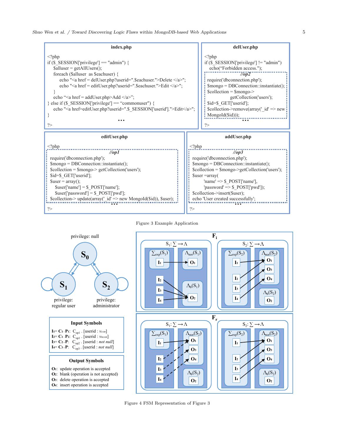





Figure 4 FSM Representation of Figure 3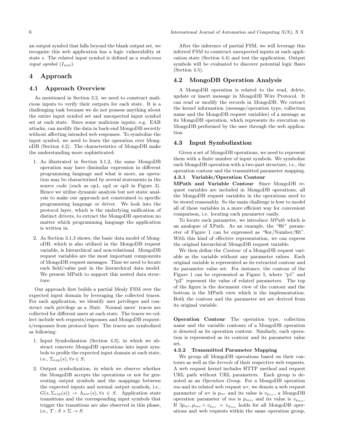an output symbol that falls beyond the blank output set, we

recognize this web application has a logic vulnerability at state s. The related input symbol is defined as a malicious input symbol  $(I_{mal})$ .

#### 4 Approach

#### 4.1 Approach Overview

As mentioned in Section 3.2, we need to construct malicious inputs to verify their outputs for each state. It is a challenging task because we do not possess anything about the entire input symbol set and unexpected input symbol set at each state. Since some malicious inputs, e.g. EAR attacks, can modify the data in back-end MongoDB secretly without affecting intended web responses. To symbolize the input symbol, we need to learn the operation over MongoDB (Section 4.2). The characteristics of MongoDB make the understanding more sophisticated:

- 1. As illustrated in Section 3.1.2, the same MongoDB operation may have dissimilar expression in different programming language and what is more, an operation may be characterized by several statements in the source code (such as op1, op2 or op3 in Figure 3). Hence we utilize dynamic analysis but not static analysis to make our approach not constrained to specific programming language or driver. We look into the protocol layer, which is the underlying unification of distinct drivers, to extract the MongoDB operation no matter which programming language the application is written in.
- 2. As Section 3.1.3 shows, the basic data model of MongoDB, which is also utilized in the MongoDB request variable, is hierarchical and non-relational. MongoDB request variables are the most important components of MongoDB request messages. Thus we need to locate each field/value pair in the hierarchical data model. We present MPath to support this nested data structure.

Our approach first builds a partial Mealy FSM over the expected input domain by leveraging the collected traces. For each application, we identify user privileges and construct each privilege as a State. Normal users' traces are collected for different users at each state. The traces we collect include web requests/responses and MongoDB requests/responses from protocol layer. The traces are symbolized as following:

- 1. Input Symbolization (Section 4.3), in which we abstract concrete MongoDB operations into input symbols to profile the expected input domain at each state, i.e.,  $\Sigma_{exp}(s)$ ,  $\forall s \in S$ ;
- 2. Output symbolization, in which we observe whether the MongoDB accepts the operations or not for generating output symbols and the mappings between the expected inputs and normal output symbols, i.e.,  $G(s, \Sigma_{exp}(s)) \rightarrow \Lambda_{nor}(s), \forall s \in S$ . Application state transitions and the corresponding input symbols that trigger the transitions are also observed in this phase, i.e.,  $T : S \times \Sigma \rightarrow S$ .

After the inference of partial FSM, we will leverage this inferred FSM to construct unexpected inputs at each application state (Section 4.4) and test the application. Output symbols will be evaluated to discover potential logic flaws (Section 4.5).

#### 4.2 MongoDB Operation Analysis

A MongoDB operation is related to the read, delete, update or insert message in MongoDB Wire Protocol. It can read or modify the records in MongoDB. We extract the kernel information (message/operation type, collection name and the MongoDB request variables) of a message as its MongoDB operation, which represents its execution on MongoDB performed by the user through the web application.

#### 4.3 Input Symbolization

Given a set of MongoDB operations, we need to represent them with a finite number of input symbols. We symbolize each MongoDB operation with a two-part structure, i.e., the operation contour and the transmitted parameter mapping. 4.3.1 Variable/Operation Contour

MPath and Variable Contour Since MongoDB request variables are included in MongoDB operations, all the MongoDB request variables in the operations need to be stored reasonably. So the main challenge is how to model all of these variables in a more efficient way for convenient comparison, i.e. locating each parameter easily.

To locate each parameter, we introduce MPath which is an analogue of XPath. As an example, the "\$lt" parameter of Figure 1 can be expressed as "\$or/Number/\$lt". With this kind of effective representation, we can express the original hierarchical MongoDB request variable.

We then define the *Contour* of a MongoDB request variable as the variable without any parameter values. Each original variable is represented as its extracted contour and its parameter value set. For instance, the contour of the Figure 1 can be represented as Figure 5, where "p1" and "p2" represent the value of related parameters. The top of the figure is the document view of the contour and the bottom is the MPath view which is the implementation. Both the contour and the parameter set are derived from its original variable.

Operation Contour The operation type, collection name and the variable contours of a MongoDB operation is denoted as its operation contour. Similarly, each operation is represented as its contour and its parameter value set.

#### 4.3.2 Transmitted Parameter Mapping

We group all MongoDB operations based on their contours as well as the kernels of their respective web requests. A web request kernel includes HTTP method and request URL path without URL parameters. Each group is denoted as an Operation Group. For a MongoDB operation mo and its related web request wr, we denote a web request parameter of wr is  $p_{wr}$  and its value is  $v_{pwr}$ , a MongoDB operation parameter of mo is  $p_{mo}$ , and its value is  $v_{p_{mo}}$ . If  $\exists p_{wr}, p_{mo} \wedge v_{p_{wr}} = v_{p_{mo}}$  holds for all MongoDB operations and web requests within the same operation group,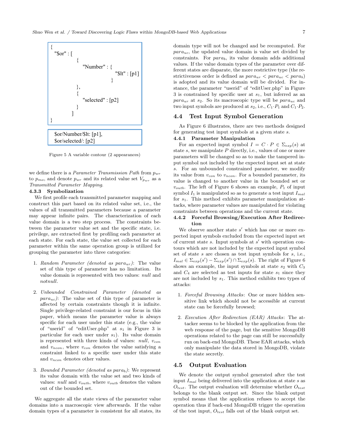

Figure 5 A variable contour (2 appearances)

we define there is a *Parameter Transmission Path* from  $p_{wr}$ to  $p_{mo}$ , and denote  $p_{wr}$  and its related value set  $V_{p_{wr}}$  as a Transmitted Parameter Mapping.

#### 4.3.3 Symbolization

We first profile each transmitted parameter mapping and construct this part based on its related value set, i.e., the values of all transmitted parameters because a parameter may appear infinite pairs. The characterization of each value domain is a two step process. The constraints between the parameter value set and the specific state, i.e. privilege, are extracted first by profiling each parameter at each state. For each state, the value set collected for each parameter within the same operation group is utilized for grouping the parameter into three categories:

- 1. Random Parameter (denoted as  $para_{ur}$ ): The value set of this type of parameter has no limitation. Its value domain is represented with two values: null and notnull.
- 2. Unbounded Constrained Parameter (denoted as  $para_{uc}$ ): The value set of this type of parameter is affected by certain constraints though it is infinite. Single privilege-related constraint is our focus in this paper, which means the parameter value is always specific for each user under this state (e.g., the value of "userid" of "editUser.php" at  $s_1$  in Figure 3 is particular for each user under  $s_1$ ). Its value domain is represented with three kinds of values:  $null, v_{con}$ and  $v_{ncon}$ , where  $v_{con}$  denotes the value satisfying a constraint linked to a specific user under this state and  $v_{ncon}$  denotes other values.
- 3. Bounded Parameter (denoted as  $para_b$ ): We represent its value domain with the value set and two kinds of values: null and  $v_{outb}$ , where  $v_{outb}$  denotes the values out of the bounded set.

We aggregate all the state views of the parameter value domains into a macroscopic view afterwards. If the value domain types of a parameter is consistent for all states, its domain type will not be changed and be recomputed. For  $para_{uc}$ , the updated value domain is value set divided by constraints. For  $para_b$ , its value domain adds additional values. If the value domain types of the parameter over different states are disparate, the more restrictive type (the restrictiveness order is defined as  $para_{ur} < para_{uc} < para_b)$ is adopted and its value domain will be divided. For instance, the parameter "userid" of "editUser.php" in Figure 3 is constrained by specific user at  $s_1$ , but inferred as an  $para_{ur}$  at  $s_2$ . So its macroscopic type will be  $para_{uc}$  and two input symbols are produced at  $s_2$ , i.e.,  $C_1 \cdot P_1$  and  $C_1 \cdot P_2$ .

#### 4.4 Test Input Symbol Generation

As Figure 6 illustrates, there are two methods designed for generating test input symbols at a given state s.

#### 4.4.1 Parameter Manipulation

For an expected input symbol  $I = C \cdot P \in \Sigma_{exp}(s)$  at state  $s$ , we manipulate  $P$  directly, i.e., values of one or more parameters will be changed so as to make the tampered input symbol not included by the expected input set at state s. For an unbounded constrained parameter, we modify its value from  $v_{con}$  to  $v_{ncon}$ . For a bounded parameter, its value is changed to another value in the bounded set or  $v_{outb}$ . The left of Figure 6 shows an example,  $P_1$  of input symbol  $I_1$  is manipulated so as to generate a test input  $I_{mal}$ for  $s_1$ . This method exhibits parameter manipulation attacks, where parameter values are manipulated for violating constraints between operations and the current state.

#### 4.4.2 Forceful Browsing/Execution After Redirection

We observe another state  $s'$  which has one or more expected input symbols excluded from the expected input set of current state s. Input symbols at s ′ with operation contours which are not included by the expected input symbol set of state s are chosen as test input symbols for s, i.e.,  $I_{mal} \in \Sigma_{exp}(s') - \Sigma_{exp}(s') \cap \Sigma_{exp}(s)$ . The right of Figure 6 shows an example, the input symbols at state  $s_2$  with  $C_3$ and  $C_4$  are selected as test inputs for state  $s_1$  since they are not included by  $s_1$ . This method exhibits two types of attacks:

- 1. Forceful Browsing Attacks: One or more hidden sensitive link which should not be accessible at current state can be forcefully browsed;
- 2. Execution After Redirection (EAR) Attacks: The attacker seems to be blocked by the application from the web response of the page, but the sensitive MongoDB operations related to the page can still be successfully run on back-end MongoDB. These EAR attacks, which only manipulate the data stored in MongoDB, violate the state secretly.

#### 4.5 Output Evaluation

We denote the output symbol generated after the test input  $I_{mal}$  being delivered into the application at state s as  $O_{test}$ . The output evaluation will determine whether  $O_{test}$ belongs to the blank output set. Since the blank output symbol means that the application refuses to accept the operation thus if back-end MongoDB trigger the operation of the test input,  $O_{test}$  falls out of the blank output set.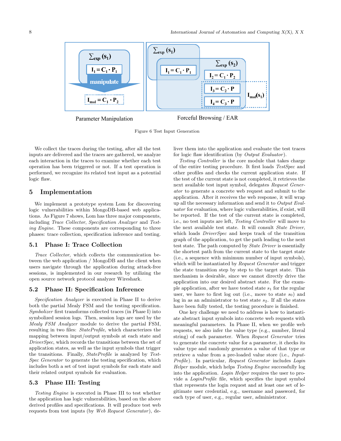

Parameter Manipulation Forceful Browsing / EAR

Figure 6 Test Input Generation

We collect the traces during the testing, after all the test inputs are delivered and the traces are gathered, we analyze each interaction in the traces to examine whether each test operation has been triggered or not. If a test operation is performed, we recognize its related test input as a potential logic flaw.

#### 5 Implementation

We implement a prototype system Lom for discovering logic vulnerabilities within MongoDB-based web applications. As Figure 7 shows, Lom has three major components, including Trace Collector, Specification Analzyer and Testing Engine. These components are corresponding to three phases: trace collection, specification inference and testing.

#### 5.1 Phase I: Trace Collection

Trace Collector, which collects the communication between the web application / MongoDB and the client when users navigate through the application during attack-free sessions, is implemented in our research by utilizing the open source network protocol analyzer Wireshark.

#### 5.2 Phase II: Specification Inference

Specification Analyzer is executed in Phase II to derive both the partial Mealy FSM and the testing specification. Symbolizer first transforms collected traces (in Phase I) into symbolized session logs. Then, session logs are used by the Mealy FSM Analyzer module to derive the partial FSM, resulting in two files: StateProfile, which characterizes the mapping between input/output symbols at each state and DriverSpec, which records the transitions between the set of application states, as well as the input symbols that trigger the transitions. Finally, StateProfile is analyzed by Test-Spec Generator to generate the testing specification, which includes both a set of test input symbols for each state and their related output symbols for evaluation.

#### 5.3 Phase III: Testing

Testing Engine is executed in Phase III to test whether the application has logic vulnerabilities, based on the above derived profiles and specifications. It will produce test web requests from test inputs (by Web Request Generator), deliver them into the application and evaluate the test traces for logic flaw identification (by Output Evaluator).

Testing Controller is the core module that takes charge of the entire testing procedure. It first loads TestSpec and other profiles and checks the current application state. If the test of the current state is not completed, it retrieves the next available test input symbol, delegates Request Generator to generate a concrete web request and submit to the application. After it receives the web response, it will wrap up all the necessary information and send it to Output Evaluator for evaluation, where logic vulnerabilities, if exist, will be reported. If the test of the current state is completed, i.e., no test inputs are left, Testing Controller will move to the next available test state. It will consult State Driver, which loads *DriverSpec* and keeps track of the transition graph of the application, to get the path leading to the next test state. The path computed by State Driver is essentially the shortest path from the current state to the target state (i.e., a sequence with minimum number of input symbols), which will be instantiated by Request Generator and trigger the state transition step by step to the target state. This mechanism is desirable, since we cannot directly drive the application into our desired abstract state. For the example application, after we have tested state  $s_1$  for the regular user, we have to first log out (i.e., move to state  $s_0$ ) and log in as an administrator to test state  $s_2$ . If all the states have been fully tested, the testing procedure is finished.

One key challenge we need to address is how to instantiate abstract input symbols into concrete web requests with meaningful parameters. In Phase II, when we profile web requests, we also infer the value type (e.g., number, literal string) of each parameter. When Request Generator tries to generate the concrete value for a parameter, it checks its value type and randomly generates a value of that type or retrieve a value from a pre-loaded value store (i.e., Input-Profile). In particular, Request Generator includes Login Helper module, which helps Testing Engine successfully log into the application. Login Helper requires the user to provide a LoginProfile file, which specifies the input symbol that represents the login request and at least one set of legitimate user credential, e.g., username and password, for each type of user, e.g., regular user, administrator.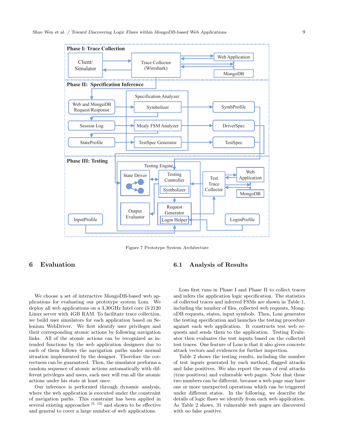

Figure 7 Prototype System Architecture

#### 6 Evaluation

We choose a set of interactive MongoDB-based web applications for evaluating our prototype system Lom. We deploy all web applications on a 3.30GHz Intel core i3-2120 Linux server with 4GB RAM. To facilitate trace collection, we build user simulators for each application based on Selenium WebDriver. We first identify user privileges and their corresponding atomic actions by following navigation links. All of the atomic actions can be recognized as intended functions by the web application designers due to each of them follows the navigation paths under normal situation implemented by the designer. Therefore the correctness can be guaranteed. Then, the simulator performs a random sequence of atomic actions automatically with different privileges and users, each user will run all the atomic actions under his state at least once.

Our inference is performed through dynamic analysis, where the web application is executed under the constraint of navigation paths. This constraint has been applied in several existing approaches  $[5, 12]$  and shown to be effective and general to cover a large number of web applications.

#### 6.1 Analysis of Results

Lom first runs in Phase I and Phase II to collect traces and infers the application logic specification. The statistics of collected traces and inferred FSMs are shown in Table 1, including the number of files, collected web requests, MongoDB requests, states, input symbols. Then, Lom generates the testing specification and launches the testing procedure against each web application. It constructs test web requests and sends them to the application. Testing Evaluator then evaluates the test inputs based on the collected test traces. One feature of Lom is that it also gives concrete attack vectors and evidences for further inspection.

Table 2 shows the testing results, including the number of test inputs generated by each method, flagged attacks and false positives. We also report the sum of real attacks (true positives) and vulnerable web pages. Note that these two numbers can be different, because a web page may have one or more unexpected operations which can be triggered under different states. In the following, we describe the details of logic flaws we identify from each web application. As Table 2 shows, 31 vulnerable web pages are discovered with no false positive.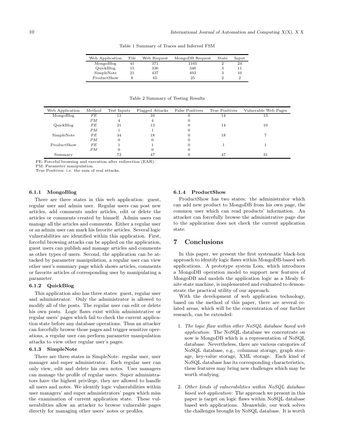Table 1 Summary of Traces and Inferred FSM

| Web Application | File | Web Request | MongoDB Request | State | Input |
|-----------------|------|-------------|-----------------|-------|-------|
| MongoBlog       |      | 371         | 1165            |       | 24    |
| QuickBlog       | 15   | 336         | 346             | 3     | 11    |
| SimpleNote      | 21   | 437         | 493             | З     | 10    |
| ProductShow     |      | 65          | 25              |       | 2     |

Table 2 Summary of Testing Results

| Web Application | Method | Test Inputs | Flagged Attacks | <b>False Positives</b> | True Positives | Vulnerable Web Pages |
|-----------------|--------|-------------|-----------------|------------------------|----------------|----------------------|
| MongoBlog       | FE     |             | 10              |                        | 14             | 13                   |
|                 | PM     | 4           | 4               |                        |                |                      |
| QuickBlog       | FE     | 21          | 13              |                        | 14             | 10                   |
|                 | PM     |             |                 |                        |                |                      |
| SimpleNote      | FE     | 34          | 18              |                        | 18             |                      |
|                 | PM     |             |                 |                        |                |                      |
| ProductShow     | FE     |             |                 |                        |                |                      |
|                 | PМ     |             |                 |                        |                |                      |
| Summary         |        | 72          | 47              |                        | 47             | 31                   |

FE: Forceful browsing and execution after redirection (EAR).

PM: Parameter manipulation.

True Positives: i.e. the sum of real attacks.

#### 6.1.1 MongoBlog

There are three states in this web application: guest, regular user and admin user. Regular users can post new articles, add comments under articles, edit or delete the articles or comments created by himself. Admin users can manage all the articles and comments. Either a regular user or an admin user can mark his favorite articles. Several logic vulnerabilities are identified within this application. First, forceful browsing attacks can be applied on the application, guest users can publish and manage articles and comments as other types of users. Second, the application can be attacked by parameter manipulation, a regular user can view other user's summary page which shows articles, comments or favorite articles of corresponding user by manipulating a parameter.

#### 6.1.2 QuickBlog

This application also has three states: guest, regular user and administrator. Only the administrator is allowed to modify all of the posts. The regular user can edit or delete his own posts. Logic flaws exist within administrative or regular users' pages which fail to check the current application state before any database operations. Thus an attacker can forcefully browse those pages and trigger sensitive operations, a regular user can perform parameter manipulation attacks to view other regular user's pages.

#### 6.1.3 SimpleNote

There are three states in SimpleNote: regular user, user manager and super administrator. Each regular user can only view, edit and delete his own notes. User managers can manage the profile of regular users. Super administrators have the highest privilege, they are allowed to handle all users and notes. We identify logic vulnerabilities within user managers' and super administrators' pages which miss the examination of current application state. These vulnerabilities allow an attacker to browse vulnerable pages directly for managing other users' notes or profiles.

#### 6.1.4 ProductShow

ProductShow has two states: the administrator which can add new product to MongoDB from his own page, the common user which can read products' information. An attacker can forcefully browse the administrative page due to the application does not check the current application state.

#### 7 Conclusions

In this paper, we present the first systematic black-box approach to identify logic flaws within MongoDB-based web applications. A prototype system Lom, which introduces a MongoDB operation model to support new features of MongoDB and models the application logic as a Mealy finite state machine, is implemented and evaluated to demonstrate the practical utility of our approach.

With the development of web application technology, based on the method of this paper, there are several related areas, which will be the concentration of our further research, can be extended:

- 1. The logic flaw within other NoSQL database based web application: The NoSQL database we concentrate on now is MongoDB which is a representation of NoSQL database. Nevertheless, there are various categories of NoSQL database, e.g., columnar storage, graph storage, key-value storage, XML storage. Each kind of NoSQL database has its corresponding characteristics, these features may bring new challenges which may be worth studying.
- 2. Other kinds of vulnerabilities within NoSQL database based web application: The approach we present in this paper is target on logic flaws within NoSQL database based web applications. Meanwhile, our work solves the challenges brought by NoSQL database. It is worth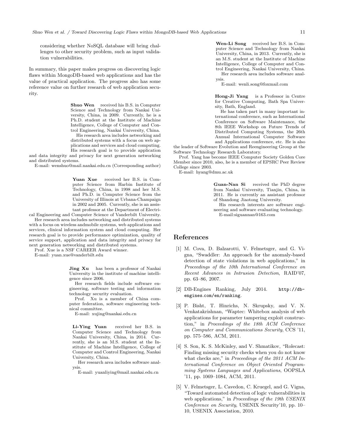considering whether NoSQL database will bring challenges to other security problem, such as input validation vulnerabilities.

In summary, this paper makes progress on discovering logic flaws within MongoDB-based web applications and has the value of practical application. The progress also has some reference value on further research of web application security.

> Shuo Wen received his B.S. in Computer Science and Technology from Nankai University, China, in 2009. Currently, he is a Ph.D. student at the Institute of Machine Intelligence, College of Computer and Control Engineering, Nankai University, China.

> His research area includes networking and distributed systems with a focus on web applications and services and cloud computing. His research goal is to provide application

and data integrity and privacy for next generation networking and distributed systems.

E-mail: wenshuo@mail.nankai.edu.cn (Corresponding author)

Yuan Xue received her B.S. in Computer Science from Harbin Institute of Technology, China, in 1998 and her M.S. and Ph.D. in Computer Science from the University of Illinois at Urbana-Champaign in 2002 and 2005. Currently, she is an assistant professor at the Department of Electri-

cal Engineering and Computer Science of Vanderbilt University.

Her research area includes networking and distributed systems with a focus on wireless andmobile systems, web applications and services, clinical information system and cloud computing. Her research goal is to provide performance optimization, quality of service support, application and data integrity and privacy for next generation networking and distributed systems.

Prof. Xue is a NSF CAREER Award winner.

E-mail: yuan.xue@vanderbilt.edu

Jing Xu has been a professor of Nankai University in the institute of machine intelligence since 2006.

Her research fields include software engineering, software testing and information technology security evaluation.

Prof. Xu is a member of China computer federation, software engineering technical committee.

E-mail: xujing@nankai.edu.cn

Li-Ying Yuan received her B.S. in Computer Science and Technology from Nankai University, China, in 2014. Currently, she is an M.S. student at the Institute of Machine Intelligence, College of Computer and Control Engineering, Nankai University, China.

Her research area includes software analysis.

E-mail: yuanliying@mail.nankai.edu.cn

Wen-Li Song received her B.S. in Computer Science and Technology from Nankai University, China, in 2013. Currently, she is an M.S. student at the Institute of Machine Intelligence, College of Computer and Control Engineering, Nankai University, China. Her research area includes software analysis.

E-mail: wenli.song@foxmail.com

Hong-Ji Yang is a Professor in Centre for Creative Computing, Bath Spa University, Bath, England.

He has taken part in many important international conference, such as International Conference on Software Maintenance, the 8th IEEE Workshop on Future Trends of Distributed Computing Systems, the 26th Annual International Computer Software and Applications conference, etc. He is also

the leader of Software Evolution and Reengineering Group at the Software Technology Research Laboratory.

Prof. Yang has become IEEE Computer Society Golden Core Member since 2010, also, he is a member of EPSRC Peer Review College since 2003.

E-mail: hyang@dmu.ac.uk

Guan-Nan Si received the PhD degree from Nankai University, Tianjin, China, in 2011. He is currently an assistant professor of Shandong Jiaotong University.

His research interests are software engineering and software evaluating technology. E-mail:siguannan@163.com

#### References

- [1] M. Cova, D. Balzarotti, V. Felmetsger, and G. Vigna, "Swaddler: An approach for the anomaly-based detection of state violations in web applications," in Proceedings of the 10th International Conference on Recent Advances in Intrusion Detection, RAID'07, pp. 63–86, 2007.
- [2] DB-Engines Ranking, July 2014. http://dbengines.com/en/ranking.
- [3] P. Bisht, T. Hinrichs, N. Skrupsky, and V. N. Venkatakrishnan, "Waptec: Whitebox analysis of web applications for parameter tampering exploit construction," in Proceedings of the 18th ACM Conference on Computer and Communications Security, CCS '11, pp. 575–586, ACM, 2011.
- [4] S. Son, K. S. McKinley, and V. Shmatikov, "Rolecast: Finding missing security checks when you do not know what checks are," in Proceedings of the 2011 ACM International Conference on Object Oriented Programming Systems Languages and Applications, OOPSLA '11, pp. 1069–1084, ACM, 2011.
- [5] V. Felmetsger, L. Cavedon, C. Kruegel, and G. Vigna, "Toward automated detection of logic vulnerabilities in web applications," in Proceedings of the 19th USENIX Conference on Security, USENIX Security'10, pp. 10– 10, USENIX Association, 2010.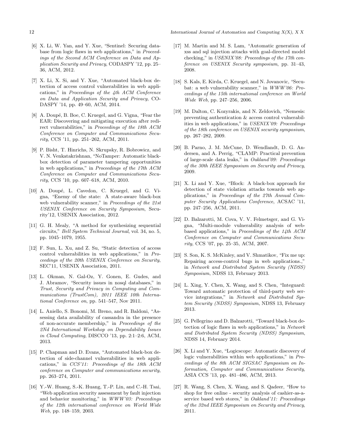12 International Journal of Automation and Computing X(X), X X

- [6] X. Li, W. Yan, and Y. Xue, "Sentinel: Securing database from logic flaws in web applications," in Proceedings of the Second ACM Conference on Data and Application Security and Privacy, CODASPY '12, pp. 25– 36, ACM, 2012.
- [7] X. Li, X. Si, and Y. Xue, "Automated black-box detection of access control vulnerabilities in web applications," in Proceedings of the 4th ACM Conference on Data and Application Security and Privacy, CO-DASPY '14, pp. 49–60, ACM, 2014.
- [8] A. Doupé, B. Boe, C. Kruegel, and G. Vigna, "Fear the EAR: Discovering and mitigating execution after redirect vulnerabilities," in Proceedings of the 18th ACM Conference on Computer and Communications Security, CCS '11, pp. 251–262, ACM, 2011.
- [9] P. Bisht, T. Hinrichs, N. Skrupsky, R. Bobrowicz, and V. N. Venkatakrishnan, "NoTamper: Automatic blackbox detection of parameter tampering opportunities in web applications," in Proceedings of the 17th ACM Conference on Computer and Communications Security, CCS '10, pp. 607–618, ACM, 2010.
- [10] A. Doupé, L. Cavedon, C. Kruegel, and G. Vigna, "Enemy of the state: A state-aware black-box web vulnerability scanner," in Proceedings of the 21st USENIX Conference on Security Symposium, Security'12, USENIX Association, 2012.
- [11] G. H. Mealy, "A method for synthesizing sequential circuits," Bell System Technical Journal, vol. 34, no. 5, pp. 1045–1079, 1955.
- [12] F. Sun, L. Xu, and Z. Su, "Static detection of access control vulnerabilities in web applications," in Proceedings of the 20th USENIX Conference on Security, SEC'11, USENIX Association, 2011.
- [13] L. Okman, N. Gal-Oz, Y. Gonen, E. Gudes, and J. Abramov, "Security issues in nosql databases," in Trust, Security and Privacy in Computing and Communications (TrustCom), 2011 IEEE 10th International Conference on, pp. 541–547, Nov 2011.
- [14] L. Aniello, S. Bonomi, M. Breno, and R. Baldoni, "Assessing data availability of cassandra in the presence of non-accurate membership," in Proceedings of the 2Nd International Workshop on Dependability Issues in Cloud Computing, DISCCO '13, pp. 2:1–2:6, ACM, 2013.
- [15] P. Chapman and D. Evans, "Automated black-box detection of side-channel vulnerabilities in web applications," in CCS'11: Proceedings of the 18th ACM conference on Computer and communications security, pp. 263–274, 2011.
- [16] Y.-W. Huang, S.-K. Huang, T.-P. Lin, and C.-H. Tsai, "Web application security assessment by fault injection and behavior monitoring," in WWW'03: Proceedings of the 12th international conference on World Wide Web, pp. 148–159, 2003.
- [17] M. Martin and M. S. Lam, "Automatic generation of xss and sql injection attacks with goal-directed model checking," in USENIX'08: Proceedings of the 17th conference on USENIX Security symposium, pp. 31–43, 2008.
- [18] S. Kals, E. Kirda, C. Kruegel, and N. Jovanovic, "Secubat: a web vulnerability scanner," in  $WWW'06:Pro$ ceedings of the 15th international conference on World Wide Web, pp. 247–256, 2006.
- [19] M. Dalton, C. Kozyrakis, and N. Zeldovich, "Nemesis: preventing authentication & access control vulnerabilities in web applications," in USENIX'09: Proceedings of the 18th conference on USENIX security symposium, pp. 267–282, 2009.
- [20] B. Parno, J. M. McCune, D. Wendlandt, D. G. Andersen, and A. Perrig, "CLAMP: Practical prevention of large-scale data leaks," in Oakland'09: Proceedings of the 30th IEEE Symposium on Security and Privacy, 2009.
- [21] X. Li and Y. Xue, "Block: A black-box approach for detection of state violation attacks towards web applications," in Proceedings of the 27th Annual Computer Security Applications Conference, ACSAC '11, pp. 247–256, ACM, 2011.
- [22] D. Balzarotti, M. Cova, V. V. Felmetsger, and G. Vigna, "Multi-module vulnerability analysis of webbased applications," in Proceedings of the 14th ACM Conference on Computer and Communications Security, CCS '07, pp. 25–35, ACM, 2007.
- [23] S. Son, K. S. McKinley, and V. Shmatikov, "Fix me up: Repairing access-control bugs in web applications.," in Network and Distributed System Security (NDSS) Symposium, NDSS 13, February 2013.
- [24] L. Xing, Y. Chen, X. Wang, and S. Chen, "Integuard: Toward automatic protection of third-party web service integrations," in Network and Distributed System Security (NDSS) Symposium, NDSS 13, February 2013.
- [25] G. Pellegrino and D. Balzarotti, "Toward black-box detection of logic flaws in web applications," in Network and Distributed System Security (NDSS) Symposium, NDSS 14, February 2014.
- [26] X. Li and Y. Xue, "Logicscope: Automatic discovery of logic vulnerabilities within web applications," in Proceedings of the 8th ACM SIGSAC Symposium on Information, Computer and Communications Security, ASIA CCS '13, pp. 481–486, ACM, 2013.
- [27] R. Wang, S. Chen, X. Wang, and S. Qadeer, "How to shop for free online - security analysis of cashier-as-aservice based web stores," in Oakland'11: Proceedings of the 32nd IEEE Symposium on Security and Privacy, 2011.